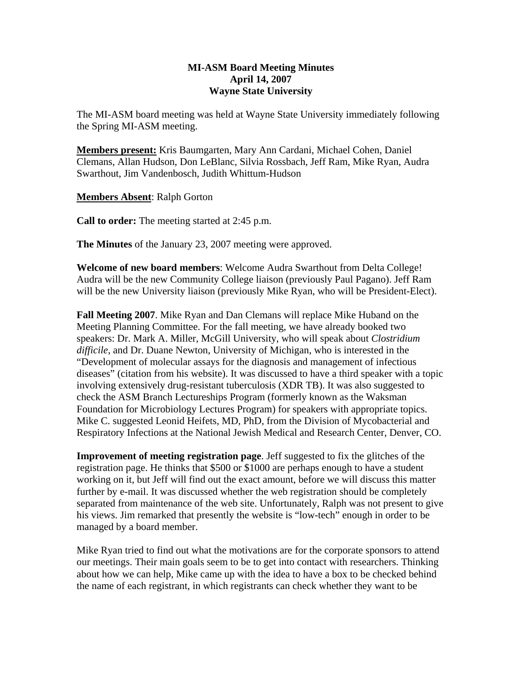## **MI-ASM Board Meeting Minutes April 14, 2007 Wayne State University**

The MI-ASM board meeting was held at Wayne State University immediately following the Spring MI-ASM meeting.

**Members present:** Kris Baumgarten, Mary Ann Cardani, Michael Cohen, Daniel Clemans, Allan Hudson, Don LeBlanc, Silvia Rossbach, Jeff Ram, Mike Ryan, Audra Swarthout, Jim Vandenbosch, Judith Whittum-Hudson

**Members Absent**: Ralph Gorton

**Call to order:** The meeting started at 2:45 p.m.

**The Minutes** of the January 23, 2007 meeting were approved.

**Welcome of new board members**: Welcome Audra Swarthout from Delta College! Audra will be the new Community College liaison (previously Paul Pagano). Jeff Ram will be the new University liaison (previously Mike Ryan, who will be President-Elect).

**Fall Meeting 2007**. Mike Ryan and Dan Clemans will replace Mike Huband on the Meeting Planning Committee. For the fall meeting, we have already booked two speakers: Dr. Mark A. Miller, McGill University, who will speak about *Clostridium difficile*, and Dr. Duane Newton, University of Michigan, who is interested in the "Development of molecular assays for the diagnosis and management of infectious diseases" (citation from his website). It was discussed to have a third speaker with a topic involving extensively drug-resistant tuberculosis (XDR TB). It was also suggested to check the ASM Branch Lectureships Program (formerly known as the Waksman Foundation for Microbiology Lectures Program) for speakers with appropriate topics. Mike C. suggested Leonid Heifets, MD, PhD, from the Division of Mycobacterial and Respiratory Infections at the National Jewish Medical and Research Center, Denver, CO.

**Improvement of meeting registration page**. Jeff suggested to fix the glitches of the registration page. He thinks that \$500 or \$1000 are perhaps enough to have a student working on it, but Jeff will find out the exact amount, before we will discuss this matter further by e-mail. It was discussed whether the web registration should be completely separated from maintenance of the web site. Unfortunately, Ralph was not present to give his views. Jim remarked that presently the website is "low-tech" enough in order to be managed by a board member.

Mike Ryan tried to find out what the motivations are for the corporate sponsors to attend our meetings. Their main goals seem to be to get into contact with researchers. Thinking about how we can help, Mike came up with the idea to have a box to be checked behind the name of each registrant, in which registrants can check whether they want to be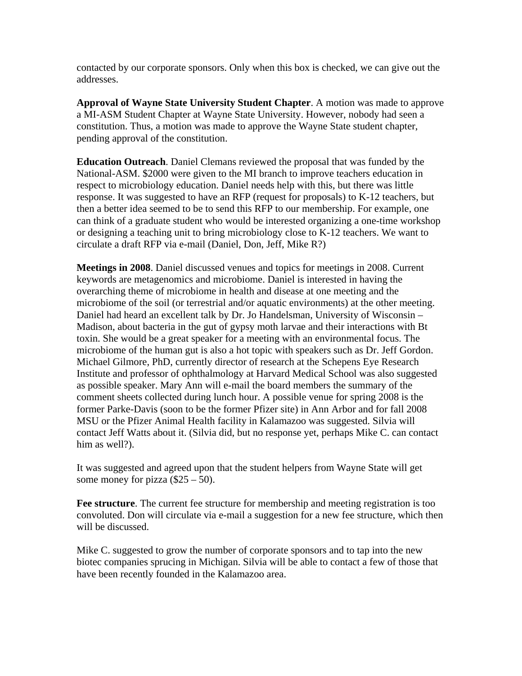contacted by our corporate sponsors. Only when this box is checked, we can give out the addresses.

**Approval of Wayne State University Student Chapter**. A motion was made to approve a MI-ASM Student Chapter at Wayne State University. However, nobody had seen a constitution. Thus, a motion was made to approve the Wayne State student chapter, pending approval of the constitution.

**Education Outreach**. Daniel Clemans reviewed the proposal that was funded by the National-ASM. \$2000 were given to the MI branch to improve teachers education in respect to microbiology education. Daniel needs help with this, but there was little response. It was suggested to have an RFP (request for proposals) to K-12 teachers, but then a better idea seemed to be to send this RFP to our membership. For example, one can think of a graduate student who would be interested organizing a one-time workshop or designing a teaching unit to bring microbiology close to K-12 teachers. We want to circulate a draft RFP via e-mail (Daniel, Don, Jeff, Mike R?)

**Meetings in 2008**. Daniel discussed venues and topics for meetings in 2008. Current keywords are metagenomics and microbiome. Daniel is interested in having the overarching theme of microbiome in health and disease at one meeting and the microbiome of the soil (or terrestrial and/or aquatic environments) at the other meeting. Daniel had heard an excellent talk by Dr. Jo Handelsman, University of Wisconsin – Madison, about bacteria in the gut of gypsy moth larvae and their interactions with Bt toxin. She would be a great speaker for a meeting with an environmental focus. The microbiome of the human gut is also a hot topic with speakers such as Dr. Jeff Gordon. Michael Gilmore, PhD, currently director of research at the Schepens Eye Research Institute and professor of ophthalmology at Harvard Medical School was also suggested as possible speaker. Mary Ann will e-mail the board members the summary of the comment sheets collected during lunch hour. A possible venue for spring 2008 is the former Parke-Davis (soon to be the former Pfizer site) in Ann Arbor and for fall 2008 MSU or the Pfizer Animal Health facility in Kalamazoo was suggested. Silvia will contact Jeff Watts about it. (Silvia did, but no response yet, perhaps Mike C. can contact him as well?).

It was suggested and agreed upon that the student helpers from Wayne State will get some money for pizza  $(\$25 - 50)$ .

**Fee structure**. The current fee structure for membership and meeting registration is too convoluted. Don will circulate via e-mail a suggestion for a new fee structure, which then will be discussed.

Mike C. suggested to grow the number of corporate sponsors and to tap into the new biotec companies sprucing in Michigan. Silvia will be able to contact a few of those that have been recently founded in the Kalamazoo area.